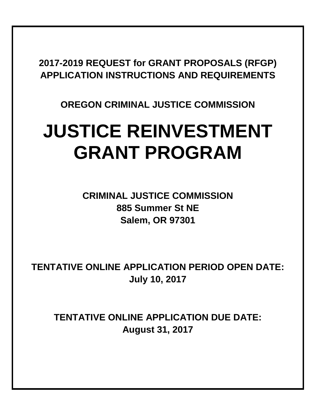# **2017-2019 REQUEST for GRANT PROPOSALS (RFGP) APPLICATION INSTRUCTIONS AND REQUIREMENTS**

# **OREGON CRIMINAL JUSTICE COMMISSION**

# **JUSTICE REINVESTMENT GRANT PROGRAM**

**CRIMINAL JUSTICE COMMISSION 885 Summer St NE Salem, OR 97301**

**TENTATIVE ONLINE APPLICATION PERIOD OPEN DATE: July 10, 2017**

**TENTATIVE ONLINE APPLICATION DUE DATE: August 31, 2017**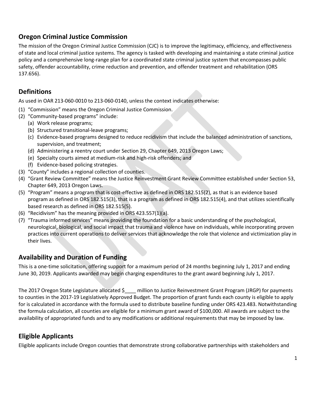# **Oregon Criminal Justice Commission**

The mission of the Oregon Criminal Justice Commission (CJC) is to improve the legitimacy, efficiency, and effectiveness of state and local criminal justice systems. The agency is tasked with developing and maintaining a state criminal justice policy and a comprehensive long-range plan for a coordinated state criminal justice system that encompasses public safety, offender accountability, crime reduction and prevention, and offender treatment and rehabilitation (ORS 137.656).

# **Definitions**

As used in OAR 213‐060‐0010 to 213‐060‐0140, unless the context indicates otherwise:

- (1) "Commission" means the Oregon Criminal Justice Commission.
- (2) "Community‐based programs" include:
	- (a) Work release programs;
	- (b) Structured transitional-leave programs;
	- (c) Evidence‐based programs designed to reduce recidivism that include the balanced administration of sanctions, supervision, and treatment;
	- (d) Administering a reentry court under Section 29, Chapter 649, 2013 Oregon Laws;
	- (e) Specialty courts aimed at medium‐risk and high‐risk offenders; and
	- (f) Evidence‐based policing strategies.
- (3) "County" includes a regional collection of counties.
- (4) "Grant Review Committee" means the Justice Reinvestment Grant Review Committee established under Section 53, Chapter 649, 2013 Oregon Laws.
- (5) "Program" means a program that is cost‐effective as defined in ORS 182.515(2), as that is an evidence based program as defined in ORS 182.515(3), that is a program as defined in ORS 182.515(4), and that utilizes scientifically based research as defined in ORS 182.515(5).
- (6) "Recidivism" has the meaning provided in ORS 423.557(1)(a).
- (7) "Trauma informed services" means providing the foundation for a basic understanding of the psychological, neurological, biological, and social impact that trauma and violence have on individuals, while incorporating proven practices into current operations to deliver services that acknowledge the role that violence and victimization play in their lives.

# **Availability and Duration of Funding**

This is a one-time solicitation, offering support for a maximum period of 24 months beginning July 1, 2017 and ending June 30, 2019. Applicants awarded may begin charging expenditures to the grant award beginning July 1, 2017.

The 2017 Oregon State Legislature allocated \$<br>
2017 Oregon State Legislature allocated \$<br>
2018 million to Justice Reinvestment Grant Program (JRGP) for payments to counties in the 2017-19 Legislatively Approved Budget. The proportion of grant funds each county is eligible to apply for is calculated in accordance with the formula used to distribute baseline funding under ORS 423.483. Notwithstanding the formula calculation, all counties are eligible for a minimum grant award of \$100,000. All awards are subject to the availability of appropriated funds and to any modifications or additional requirements that may be imposed by law.

# **Eligible Applicants**

Eligible applicants include Oregon counties that demonstrate strong collaborative partnerships with stakeholders and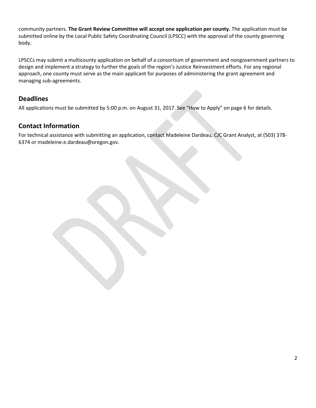community partners. **The Grant Review Committee will accept one application per county.** The application must be submitted online by the Local Public Safety Coordinating Council (LPSCC) with the approval of the county governing body.

LPSCCs may submit a multicounty application on behalf of a consortium of government and nongovernment partners to design and implement a strategy to further the goals of the region's Justice Reinvestment efforts. For any regional approach, one county must serve as the main applicant for purposes of administering the grant agreement and managing sub-agreements.

# **Deadlines**

All applications must be submitted by 5:00 p.m. on August 31, 2017. See "How to Apply" on page 6 for details.

# **Contact Information**

For technical assistance with submitting an application, contact Madeleine Dardeau, CJC Grant Analyst, at (503) 378- 6374 or madeleine.e.dardeau@oregon.gov.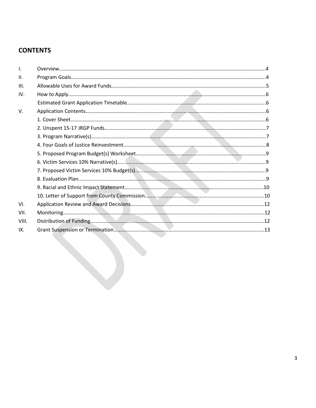# **CONTENTS**

| $\mathsf{L}$ |  |
|--------------|--|
| ΙΙ.          |  |
| III.         |  |
| IV.          |  |
|              |  |
| V.           |  |
|              |  |
|              |  |
|              |  |
|              |  |
|              |  |
|              |  |
|              |  |
|              |  |
|              |  |
|              |  |
| VI.          |  |
| VII.         |  |
| VIII.        |  |
| IX.          |  |
|              |  |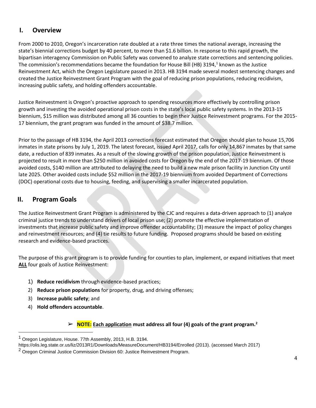# **I. Overview**

From 2000 to 2010, Oregon's incarceration rate doubled at a rate three times the national average, increasing the state's biennial corrections budget by 40 percent, to more than \$1.6 billion. In response to this rapid growth, the bipartisan interagency Commission on Public Safety was convened to analyze state corrections and sentencing policies. The commission's recommendations became the foundation for House Bill (HB) 3194,<sup>1</sup> known as the Justice Reinvestment Act, which the Oregon Legislature passed in 2013. HB 3194 made several modest sentencing changes and created the Justice Reinvestment Grant Program with the goal of reducing prison populations, reducing recidivism, increasing public safety, and holding offenders accountable.

Justice Reinvestment is Oregon's proactive approach to spending resources more effectively by controlling prison growth and investing the avoided operational prison costs in the state's local public safety systems. In the 2013-15 biennium, \$15 million was distributed among all 36 counties to begin their Justice Reinvestment programs. For the 2015- 17 biennium, the grant program was funded in the amount of \$38.7 million.

Prior to the passage of HB 3194, the April 2013 corrections forecast estimated that Oregon should plan to house 15,706 inmates in state prisons by July 1, 2019. The latest forecast, issued April 2017, calls for only 14,867 inmates by that same date, a reduction of 839 inmates. As a result of the slowing growth of the prison population, Justice Reinvestment is projected to result in more than \$250 million in avoided costs for Oregon by the end of the 2017-19 biennium. Of those avoided costs, \$140 million are attributed to delaying the need to build a new male prison facility in Junction City until late 2025. Other avoided costs include \$52 million in the 2017-19 biennium from avoided Department of Corrections (DOC) operational costs due to housing, feeding, and supervising a smaller incarcerated population.

## **II. Program Goals**

The Justice Reinvestment Grant Program is administered by the CJC and requires a data-driven approach to (1) analyze criminal justice trends to understand drivers of local prison use; (2) promote the effective implementation of investments that increase public safety and improve offender accountability; (3) measure the impact of policy changes and reinvestment resources; and (4) tie results to future funding. Proposed programs should be based on existing research and evidence-based practices.

The purpose of this grant program is to provide funding for counties to plan, implement, or expand initiatives that meet **ALL** four goals of Justice Reinvestment:

- 1) **Reduce recidivism** through evidence-based practices;
- 2) **Reduce prison populations** for property, drug, and driving offenses;
- 3) **Increase public safety**; and

 $\overline{a}$ 

4) **Hold offenders accountable**.

#### ➢ **NOTE: Each application must address all four (4) goals of the grant program.<sup>2</sup>**

<sup>&</sup>lt;sup>1</sup> Oregon Legislature, House. 77th Assembly, 2013, H.B. 3194.

https://olis.leg.state.or.us/liz/2013R1/Downloads/MeasureDocument/HB3194/Enrolled (2013). (accessed March 2017)

<sup>&</sup>lt;sup>2</sup> Oregon Criminal Justice Commission Division 60: Justice Reinvestment Program.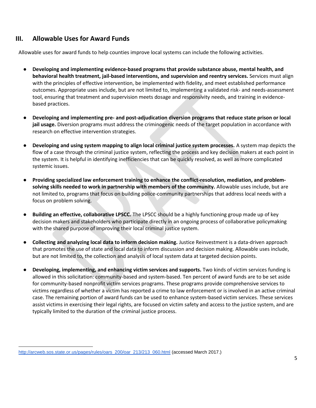## **III. Allowable Uses for Award Funds**

Allowable uses for award funds to help counties improve local systems can include the following activities.

- **Developing and implementing evidence-based programs that provide substance abuse, mental health, and behavioral health treatment, jail-based interventions, and supervision and reentry services.** Services must align with the principles of effective intervention, be implemented with fidelity, and meet established performance outcomes. Appropriate uses include, but are not limited to, implementing a validated risk- and needs-assessment tool, ensuring that treatment and supervision meets dosage and responsivity needs, and training in evidencebased practices.
- **Developing and implementing pre- and post-adjudication diversion programs that reduce state prison or local jail usage.** Diversion programs must address the criminogenic needs of the target population in accordance with research on effective intervention strategies.
- **Developing and using system mapping to align local criminal justice system processes.** A system map depicts the flow of a case through the criminal justice system, reflecting the process and key decision makers at each point in the system. It is helpful in identifying inefficiencies that can be quickly resolved, as well as more complicated systemic issues.
- **Providing specialized law enforcement training to enhance the conflict-resolution, mediation, and problemsolving skills needed to work in partnership with members of the community.** Allowable uses include, but are not limited to, programs that focus on building police-community partnerships that address local needs with a focus on problem solving.
- **Building an effective, collaborative LPSCC.** The LPSCC should be a highly functioning group made up of key decision makers and stakeholders who participate directly in an ongoing process of collaborative policymaking with the shared purpose of improving their local criminal justice system.
- **Collecting and analyzing local data to inform decision making.** Justice Reinvestment is a data-driven approach that promotes the use of state and local data to inform discussion and decision making. Allowable uses include, but are not limited to, the collection and analysis of local system data at targeted decision points.
- **Developing, implementing, and enhancing victim services and supports.** Two kinds of victim services funding is allowed in this solicitation: community-based and system-based. Ten percent of award funds are to be set aside for community-based nonprofit victim services programs. These programs provide comprehensive services to victims regardless of whether a victim has reported a crime to law enforcement or is involved in an active criminal case. The remaining portion of award funds can be used to enhance system-based victim services. These services assist victims in exercising their legal rights, are focused on victim safety and access to the justice system, and are typically limited to the duration of the criminal justice process.

 $\overline{a}$ 

[http://arcweb.sos.state.or.us/pages/rules/oars\\_200/oar\\_213/213\\_060.html](http://arcweb.sos.state.or.us/pages/rules/oars_200/oar_213/213_060.html) (accessed March 2017.)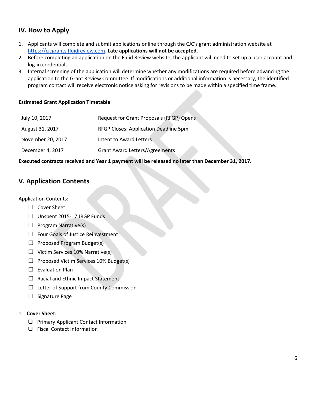# **IV. How to Apply**

- 1. Applicants will complete and submit applications online through the CJC's grant administration website at [https://cjcgrants.fluidreview.com.](https://cjcgrants.fluidreview.com/) **Late applications will not be accepted.**
- 2. Before completing an application on the Fluid Review website, the applicant will need to set up a user account and log-in credentials.
- 3. Internal screening of the application will determine whether any modifications are required before advancing the application to the Grant Review Committee. If modifications or additional information is necessary, the identified program contact will receive electronic notice asking for revisions to be made within a specified time frame.

#### **Estimated Grant Application Timetable**

| July 10, 2017     | Request for Grant Proposals (RFGP) Opens |
|-------------------|------------------------------------------|
| August 31, 2017   | RFGP Closes: Application Deadline 5pm    |
| November 20, 2017 | Intent to Award Letters.                 |
| December 4, 2017  | <b>Grant Award Letters/Agreements</b>    |

**Executed contracts received and Year 1 payment will be released no later than December 31, 2017.**

# **V. Application Contents**

#### Application Contents:

- ☐ Cover Sheet
- ☐ Unspent 2015-17 JRGP Funds
- $\Box$  Program Narrative(s)
- ☐ Four Goals of Justice Reinvestment
- □ Proposed Program Budget(s)
- $\Box$  Victim Services 10% Narrative(s)
- ☐ Proposed Victim Services 10% Budget(s)
- □ Evaluation Plan
- □ Racial and Ethnic Impact Statement
- ☐ Letter of Support from County Commission
- □ Signature Page

#### 1. **Cover Sheet:**

- ❏ Primary Applicant Contact Information
- ❏ Fiscal Contact Information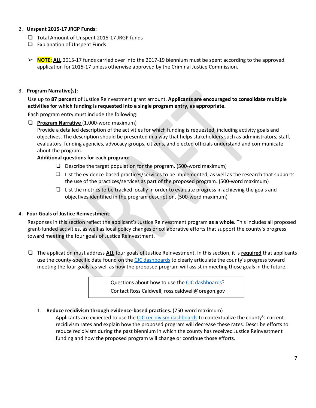#### 2. **Unspent 2015-17 JRGP Funds:**

- ❏ Total Amount of Unspent 2015-17 JRGP funds
- ❏ Explanation of Unspent Funds
- ➢ **NOTE: ALL** 2015-17 funds carried over into the 2017-19 biennium must be spent according to the approved application for 2015-17 unless otherwise approved by the Criminal Justice Commission.

#### 3. **Program Narrative(s):**

Use up to **87 percent** of Justice Reinvestment grant amount. **Applicants are encouraged to consolidate multiple activities for which funding is requested into a single program entry, as appropriate.**

Each program entry must include the following:

❏ **Program Narrative** (1,000-word maximum)

Provide a detailed description of the activities for which funding is requested, including activity goals and objectives. The description should be presented in a way that helps stakeholders such as administrators, staff, evaluators, funding agencies, advocacy groups, citizens, and elected officials understand and communicate about the program.

#### **Additional questions for each program:**

- ❏ Describe the target population for the program. (500-word maximum)
- ❏ List the evidence-based practices/services to be implemented, as well as the research that supports the use of the practices/services as part of the proposed program. (500-word maximum)
- ❏ List the metrics to be tracked locally in order to evaluate progress in achieving the goals and objectives identified in the program description. (500-word maximum)

#### 4. **Four Goals of Justice Reinvestment:**

Responses in this section reflect the applicant's Justice Reinvestment program **as a whole**. This includes all proposed grant-funded activities, as well as local policy changes or collaborative efforts that support the county's progress toward meeting the four goals of Justice Reinvestment.

❏ The application must address **ALL** four goals of Justice Reinvestment. In this section, it is **required** that applicants use the county-specific data found on the [CJC dashboards](http://www.oregon.gov/cjc/data/Pages/main.aspx) to clearly articulate the county's progress toward meeting the four goals, as well as how the proposed program will assist in meeting those goals in the future.

> Questions about how to use the [CJC dashboards?](http://www.oregon.gov/cjc/data/Pages/main.aspx) Contact Ross Caldwell, ross.caldwell@oregon.gov

1. **Reduce recidivism through evidence-based practices.** (750-word maximum)

Applicants are expected to use the [CJC recidivism dashboards](http://www.oregon.gov/cjc/data/Pages/recidivism.aspx) to contextualize the county's current recidivism rates and explain how the proposed program will decrease these rates. Describe efforts to reduce recidivism during the past biennium in which the county has received Justice Reinvestment funding and how the proposed program will change or continue those efforts.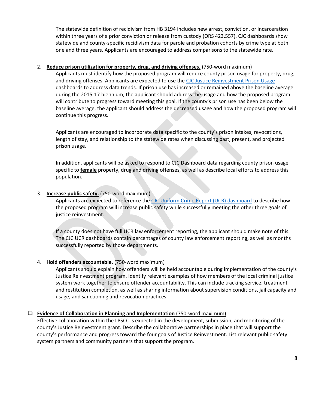The statewide definition of recidivism from HB 3194 includes new arrest, conviction, or incarceration within three years of a prior conviction or release from custody (ORS 423.557). CJC dashboards show statewide and county-specific recidivism data for parole and probation cohorts by crime type at both one and three years. Applicants are encouraged to address comparisons to the statewide rate.

#### 2. **Reduce prison utilization for property, drug, and driving offenses.** (750-word maximum)

Applicants must identify how the proposed program will reduce county prison usage for property, drug, and driving offenses. Applicants are expected to use th[e CJC Justice Reinvestment Prison Usage](http://www.oregon.gov/cjc/data/Pages/jri-prison.aspx) dashboards to address data trends. If prison use has increased or remained above the baseline average during the 2015-17 biennium, the applicant should address the usage and how the proposed program will contribute to progress toward meeting this goal. If the county's prison use has been below the baseline average, the applicant should address the decreased usage and how the proposed program will continue this progress.

Applicants are encouraged to incorporate data specific to the county's prison intakes, revocations, length of stay, and relationship to the statewide rates when discussing past, present, and projected prison usage.

In addition, applicants will be asked to respond to CJC Dashboard data regarding county prison usage specific to **female** property, drug and driving offenses, as well as describe local efforts to address this population.

#### 3. **Increase public safety.** (750-word maximum)

Applicants are expected to reference the [CJC Uniform Crime Report \(UCR\) dashboard](http://www.oregon.gov/cjc/data/Pages/OUCR.aspx) to describe how the proposed program will increase public safety while successfully meeting the other three goals of justice reinvestment.

If a county does not have full UCR law enforcement reporting, the applicant should make note of this. The CJC UCR dashboards contain percentages of county law enforcement reporting, as well as months successfully reported by those departments.

#### 4. **Hold offenders accountable.** (750-word maximum)

Applicants should explain how offenders will be held accountable during implementation of the county's Justice Reinvestment program. Identify relevant examples of how members of the local criminal justice system work together to ensure offender accountability. This can include tracking service, treatment and restitution completion, as well as sharing information about supervision conditions, jail capacity and usage, and sanctioning and revocation practices.

#### ❏ **Evidence of Collaboration in Planning and Implementation** (750-word maximum)

Effective collaboration within the LPSCC is expected in the development, submission, and monitoring of the county's Justice Reinvestment grant. Describe the collaborative partnerships in place that will support the county's performance and progress toward the four goals of Justice Reinvestment. List relevant public safety system partners and community partners that support the program.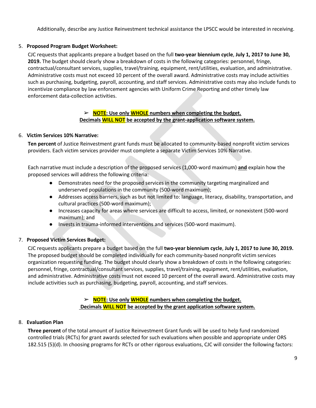Additionally, describe any Justice Reinvestment technical assistance the LPSCC would be interested in receiving.

#### 5. **Proposed Program Budget Worksheet:**

CJC requests that applicants prepare a budget based on the full **two-year biennium cycle**, **July 1, 2017 to June 30, 2019.** The budget should clearly show a breakdown of costs in the following categories: personnel, fringe, contractual/consultant services, supplies, travel/training, equipment, rent/utilities, evaluation, and administrative. Administrative costs must not exceed 10 percent of the overall award. Administrative costs may include activities such as purchasing, budgeting, payroll, accounting, and staff services. Administrative costs may also include funds to incentivize compliance by law enforcement agencies with Uniform Crime Reporting and other timely law enforcement data-collection activities.

#### ➢ **NOTE: Use only WHOLE numbers when completing the budget. Decimals WILL NOT be accepted by the grant-application software system.**

#### 6. **Victim Services 10% Narrative:**

**Ten percent** of Justice Reinvestment grant funds must be allocated to community-based nonprofit victim services providers. Each victim services provider must complete a separate Victim Services 10% Narrative.

Each narrative must include a description of the proposed services (1,000-word maximum) **and** explain how the proposed services will address the following criteria:

- Demonstrates need for the proposed services in the community targeting marginalized and underserved populations in the community (500-word maximum);
- Addresses access barriers, such as but not limited to: language, literacy, disability, transportation, and cultural practices (500-word maximum);
- Increases capacity for areas where services are difficult to access, limited, or nonexistent (500-word maximum); and
- Invests in trauma-informed interventions and services (500-word maximum).

#### 7. **Proposed Victim Services Budget:**

CJC requests applicants prepare a budget based on the full **two-year biennium cycle**, **July 1, 2017 to June 30, 2019.**  The proposed budget should be completed individually for each community-based nonprofit victim services organization requesting funding. The budget should clearly show a breakdown of costs in the following categories: personnel, fringe, contractual/consultant services, supplies, travel/training, equipment, rent/utilities, evaluation, and administrative. Administrative costs must not exceed 10 percent of the overall award. Administrative costs may include activities such as purchasing, budgeting, payroll, accounting, and staff services.

#### ➢ **NOTE: Use only WHOLE numbers when completing the budget. Decimals WILL NOT be accepted by the grant application software system.**

#### 8. **Evaluation Plan**

**Three percent** of the total amount of Justice Reinvestment Grant funds will be used to help fund randomized controlled trials (RCTs) for grant awards selected for such evaluations when possible and appropriate under ORS 182.515 (5)(d). In choosing programs for RCTs or other rigorous evaluations, CJC will consider the following factors: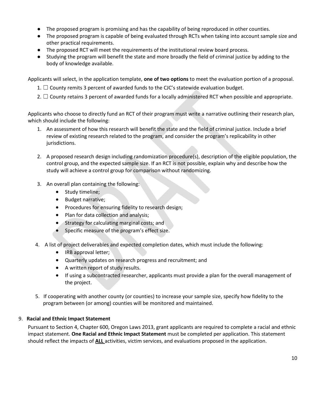- The proposed program is promising and has the capability of being reproduced in other counties.
- The proposed program is capable of being evaluated through RCTs when taking into account sample size and other practical requirements.
- The proposed RCT will meet the requirements of the institutional review board process.
- Studying the program will benefit the state and more broadly the field of criminal justice by adding to the body of knowledge available.

Applicants will select, in the application template, **one of two options** to meet the evaluation portion of a proposal.

- 1.  $\Box$  County remits 3 percent of awarded funds to the CJC's statewide evaluation budget.
- 2.  $\Box$  County retains 3 percent of awarded funds for a locally administered RCT when possible and appropriate.

Applicants who choose to directly fund an RCT of their program must write a narrative outlining their research plan, which should include the following:

- 1. An assessment of how this research will benefit the state and the field of criminal justice. Include a brief review of existing research related to the program, and consider the program's replicability in other jurisdictions.
- 2. A proposed research design including randomization procedure(s), description of the eligible population, the control group, and the expected sample size. If an RCT is not possible, explain why and describe how the study will achieve a control group for comparison without randomizing.
- 3. An overall plan containing the following:
	- Study timeline;
	- Budget narrative;
	- Procedures for ensuring fidelity to research design;
	- Plan for data collection and analysis;
	- **Strategy for calculating marginal costs; and**
	- Specific measure of the program's effect size.
- 4. A list of project deliverables and expected completion dates, which must include the following:
	- IRB approval letter;
	- Quarterly updates on research progress and recruitment; and
	- A written report of study results.
	- If using a subcontracted researcher, applicants must provide a plan for the overall management of the project.
- 5. If cooperating with another county (or counties) to increase your sample size, specify how fidelity to the program between (or among) counties will be monitored and maintained.

#### 9. **Racial and Ethnic Impact Statement**

Pursuant to Section 4, Chapter 600, Oregon Laws 2013, grant applicants are required to complete a racial and ethnic impact statement. **One Racial and Ethnic Impact Statement** must be completed per application. This statement should reflect the impacts of **ALL** activities, victim services, and evaluations proposed in the application.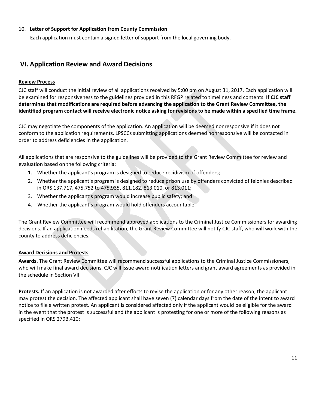#### 10. **Letter of Support for Application from County Commission**

Each application must contain a signed letter of support from the local governing body.

## **VI. Application Review and Award Decisions**

#### **Review Process**

CJC staff will conduct the initial review of all applications received by 5:00 pm on August 31, 2017. Each application will be examined for responsiveness to the guidelines provided in this RFGP related to timeliness and contents. **If CJC staff determines that modifications are required before advancing the application to the Grant Review Committee, the identified program contact will receive electronic notice asking for revisions to be made within a specified time frame.** 

CJC may negotiate the components of the application. An application will be deemed nonresponsive if it does not conform to the application requirements. LPSCCs submitting applications deemed nonresponsive will be contacted in order to address deficiencies in the application.

All applications that are responsive to the guidelines will be provided to the Grant Review Committee for review and evaluation based on the following criteria:

- 1. Whether the applicant's program is designed to reduce recidivism of offenders;
- 2. Whether the applicant's program is designed to reduce prison use by offenders convicted of felonies described in ORS 137.717, 475.752 to 475.935, 811.182, 813.010, or 813.011;
- 3. Whether the applicant's program would increase public safety; and
- 4. Whether the applicant's program would hold offenders accountable.

The Grant Review Committee will recommend approved applications to the Criminal Justice Commissioners for awarding decisions. If an application needs rehabilitation, the Grant Review Committee will notify CJC staff, who will work with the county to address deficiencies.

#### **Award Decisions and Protests**

**Awards.** The Grant Review Committee will recommend successful applications to the Criminal Justice Commissioners, who will make final award decisions. CJC will issue award notification letters and grant award agreements as provided in the schedule in Section VII.

**Protests.** If an application is not awarded after efforts to revise the application or for any other reason, the applicant may protest the decision. The affected applicant shall have seven (7) calendar days from the date of the intent to award notice to file a written protest. An applicant is considered affected only if the applicant would be eligible for the award in the event that the protest is successful and the applicant is protesting for one or more of the following reasons as specified in ORS 279B.410: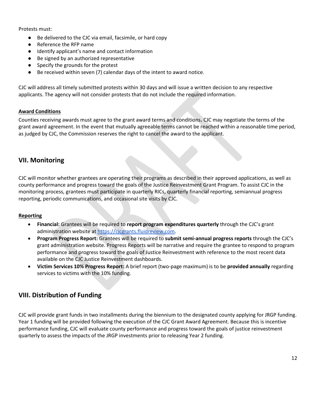Protests must:

- Be delivered to the CJC via email, facsimile, or hard copy
- Reference the RFP name
- Identify applicant's name and contact information
- Be signed by an authorized representative
- Specify the grounds for the protest
- Be received within seven (7) calendar days of the intent to award notice.

CJC will address all timely submitted protests within 30 days and will issue a written decision to any respective applicants. The agency will not consider protests that do not include the required information.

#### **Award Conditions**

Counties receiving awards must agree to the grant award terms and conditions**.** CJC may negotiate the terms of the grant award agreement. In the event that mutually agreeable terms cannot be reached within a reasonable time period, as judged by CJC, the Commission reserves the right to cancel the award to the applicant.

# **VII. Monitoring**

CJC will monitor whether grantees are operating their programs as described in their approved applications, as well as county performance and progress toward the goals of the Justice Reinvestment Grant Program. To assist CJC in the monitoring process, grantees must participate in quarterly RICs, quarterly financial reporting, semiannual progress reporting, periodic communications, and occasional site visits by CJC.

#### **Reporting**

- **Financial:** Grantees will be required to **report program expenditures quarterly** through the CJC's grant administration website at [https://cjcgrants.fluidreview.com.](https://cjcgrants.fluidreview.com/)
- **Program Progress Report:** Grantees will be required to **submit semi-annual progress reports** through the CJC's grant administration website. Progress Reports will be narrative and require the grantee to respond to program performance and progress toward the goals of Justice Reinvestment with reference to the most recent data available on the CJC Justice Reinvestment dashboards.
- **Victim Services 10% Progress Report:** A brief report (two-page maximum) is to be **provided annually** regarding services to victims with the 10% funding.

# **VIII. Distribution of Funding**

CJC will provide grant funds in two installments during the biennium to the designated county applying for JRGP funding. Year 1 funding will be provided following the execution of the CJC Grant Award Agreement. Because this is incentive performance funding, CJC will evaluate county performance and progress toward the goals of justice reinvestment quarterly to assess the impacts of the JRGP investments prior to releasing Year 2 funding.